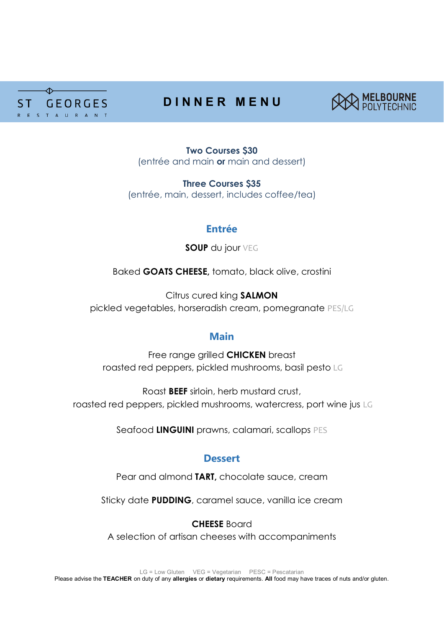

# **D I N N E R M E N U**



**Two Courses \$30** (entrée and main **or** main and dessert)

**Three Courses \$35** (entrée, main, dessert, includes coffee/tea)

# **Entrée**

**SOUP** du jour VEG

Baked **GOATS CHEESE,** tomato, black olive, crostini

Citrus cured king **SALMON** pickled vegetables, horseradish cream, pomegranate PES/LG

# **Main**

Free range grilled **CHICKEN** breast roasted red peppers, pickled mushrooms, basil pesto LG

Roast **BEEF** sirloin, herb mustard crust, roasted red peppers, pickled mushrooms, watercress, port wine jus LG

Seafood **LINGUINI** prawns, calamari, scallops PES

# **Dessert**

Pear and almond **TART,** chocolate sauce, cream

Sticky date **PUDDING**, caramel sauce, vanilla ice cream

**CHEESE** Board A selection of artisan cheeses with accompaniments